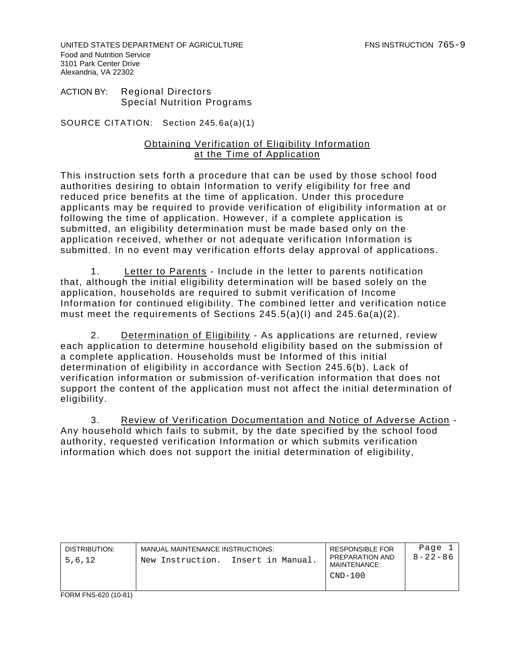UNITED STATES DEPARTMENT OF AGRICULTURE FOR THE RESERVE THIS INSTRUCTION 765-9 Food and Nutrition Service 3101 Park Center Drive Alexandria, VA 22302

ACTION BY: Regional Directors Special Nutrition Programs

SOURCE CITATION: Section 245.6a(a)(1)

## Obtaining Verification of Eligibility Information at the Time of Application

This instruction sets forth a procedure that can be used by those school food authorities desiring to obtain Information to verify eligibility for free and reduced price benefits at the time of application. Under this procedure applicants may be required to provide verification of eligibility information at or following the time of application. However, if a complete application is submitted, an eligibility determination must be made based only on the application received, whether or not adequate verification Information is submitted. In no event may verification efforts delay approval of applications.

1. Letter to Parents - Include in the letter to parents notification that, although the initial eligibility determination will be based solely on the application, households are required to submit verification of Income Information for continued eligibility. The combined letter and verification notice must meet the requirements of Sections  $245.5(a)(1)$  and  $245.6a(a)(2)$ .

2. Determination of Eligibility - As applications are returned, review each application to determine household eligibility based on the submission of a complete application. Households must be Informed of this initial determination of eligibility in accordance with Section 245.6(b). Lack of verification information or submission of-verification information that does not support the content of the application must not affect the initial determination of eligibility.

3. Review of Verification Documentation and Notice of Adverse Action -Any household which fails to submit, by the date specified by the school food authority, requested verification Information or which submits verification information which does not support the initial determination of eligibility,

| DISTRIBUTION.<br>5.6.12 | MANUAL MAINTENANCE INSTRUCTIONS:<br>New Instruction. | Insert in Manual. | <b>RESPONSIBLE FOR</b><br>PREPARATION AND<br>MAINTENANCE:<br>CND-100 | Page<br>$8 - 22 - 86$ |
|-------------------------|------------------------------------------------------|-------------------|----------------------------------------------------------------------|-----------------------|
| FORM FNS-620 (10-81)    |                                                      |                   |                                                                      |                       |